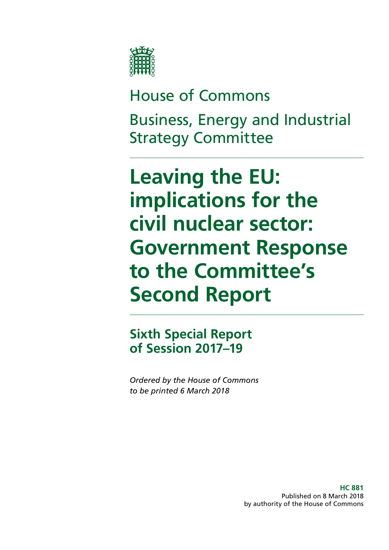

# House of Commons Business, Energy and Industrial Strategy Committee

**Leaving the EU: implications for the civil nuclear sector: Government Response to the Committee's Second Report**

**Sixth Special Report of Session 2017–19**

*Ordered by the House of Commons to be printed 6 March 2018*

> **HC 881** Published on 8 March 2018 by authority of the House of Commons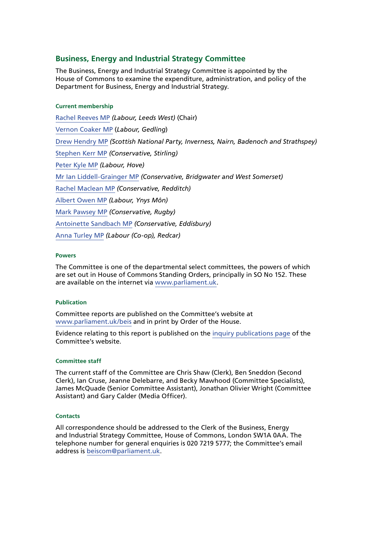#### **Business, Energy and Industrial Strategy Committee**

The Business, Energy and Industrial Strategy Committee is appointed by the House of Commons to examine the expenditure, administration, and policy of the Department for Business, Energy and Industrial Strategy.

#### **Current membership**

[Rachel Reeves MP](https://www.parliament.uk/biographies/commons/rachel-reeves/4031) *(Labour, Leeds West)* (Chair) [Vernon Coaker MP](https://www.parliament.uk/biographies/commons/vernon-coaker/360) (*Labour, Gedling*) [Drew Hendry MP](https://www.parliament.uk/biographies/commons/drew-hendry/4467) *(Scottish National Party, Inverness, Nairn, Badenoch and Strathspey)* [Stephen Kerr MP](https://www.parliament.uk/biographies/commons/stephen-kerr/4604) *(Conservative, Stirling)* [Peter Kyle MP](https://www.parliament.uk/biographies/commons/peter-kyle/4505) *(Labour, Hove)* [Mr Ian Liddell-Grainger MP](https://www.parliament.uk/biographies/commons/mr-ian-liddell-grainger/1396) *(Conservative, Bridgwater and West Somerset)* [Rachel Maclean MP](https://www.parliament.uk/biographies/commons/rachel-maclean/4668) *(Conservative, Redditch)* [Albert Owen MP](https://www.parliament.uk/biographies/commons/albert-owen/1474) *(Labour, Ynys Môn)* [Mark Pawsey MP](https://www.parliament.uk/biographies/commons/mark-pawsey/4052) *(Conservative, Rugby)* [Antoinette Sandbach MP](https://www.parliament.uk/biographies/commons/antoinette-sandbach/4506) *(Conservative, Eddisbury)* [Anna Turley MP](https://www.parliament.uk/biographies/commons/anna-turley/4449) *(Labour (Co-op), Redcar)*

#### **Powers**

The Committee is one of the departmental select committees, the powers of which are set out in House of Commons Standing Orders, principally in SO No 152. These are available on the internet via [www.parliament.uk.](https://www.parliament.uk/)

#### **Publication**

Committee reports are published on the Committee's website at [www.parliament.uk/beis](https://www.parliament.uk/beis) and in print by Order of the House.

Evidence relating to this report is published on the [inquiry publications page](https://www.parliament.uk/business/committees/committees-a-z/commons-select/business-energy-industrial-strategy/inquiries/parliament-2017/inquiry/) of the Committee's website.

#### **Committee staff**

The current staff of the Committee are Chris Shaw (Clerk), Ben Sneddon (Second Clerk), Ian Cruse, Jeanne Delebarre, and Becky Mawhood (Committee Specialists), James McQuade (Senior Committee Assistant), Jonathan Olivier Wright (Committee Assistant) and Gary Calder (Media Officer).

#### **Contacts**

All correspondence should be addressed to the Clerk of the Business, Energy and Industrial Strategy Committee, House of Commons, London SW1A 0AA. The telephone number for general enquiries is 020 7219 5777; the Committee's email address is [beiscom@parliament.uk.](mailto:beiscom%40paliament.uk?subject=)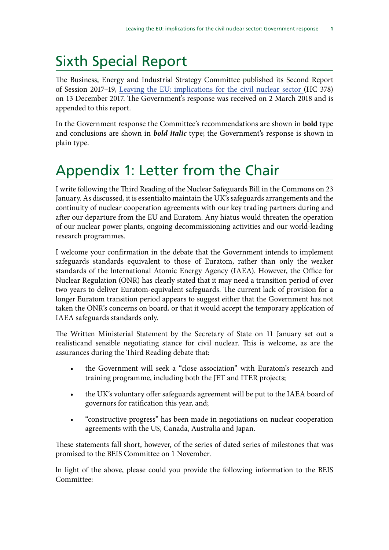# Sixth Special Report

The Business, Energy and Industrial Strategy Committee published its Second Report of Session 2017–19, [Leaving the EU: implications for the civil nuclear sector](https://publications.parliament.uk/pa/cm201719/cmselect/cmbeis/378/378.pdf) (HC 378) on 13 December 2017. The Government's response was received on 2 March 2018 and is appended to this report.

In the Government response the Committee's recommendations are shown in **bold** type and conclusions are shown in *bold italic* type; the Government's response is shown in plain type.

# Appendix 1: Letter from the Chair

I write following the Third Reading of the Nuclear Safeguards Bill in the Commons on 23 January. As discussed, it is essentialto maintain the UK's safeguards arrangements and the continuity of nuclear cooperation agreements with our key trading partners during and after our departure from the EU and Euratom. Any hiatus would threaten the operation of our nuclear power plants, ongoing decommissioning activities and our world-leading research programmes.

I welcome your confirmation in the debate that the Government intends to implement safeguards standards equivalent to those of Euratom, rather than only the weaker standards of the lnternational Atomic Energy Agency (IAEA). However, the Office for Nuclear Regulation (ONR) has clearly stated that it may need a transition period of over two years to deliver Euratom-equivalent safeguards. The current lack of provision for a longer Euratom transition period appears to suggest either that the Government has not taken the ONR's concerns on board, or that it would accept the temporary applícation of IAEA safeguards standards only.

The Written Ministerial Statement by the Secretary of State on 11 January set out a realisticand sensible negotiating stance for civil nuclear. This is welcome, as are the assurances during the Third Reading debate that:

- the Government will seek a "close association" with Euratom's research and training programme, including both the JET and ITER projects;
- the UK's voluntary offer safeguards agreement will be put to the IAEA board of governors for ratification this year, and;
- "constructive progress" has been made in negotiations on nuclear cooperation agreements with the US, Canada, Australia and Japan.

These statements fall short, however, of the series of dated series of milestones that was promised to the BEIS Committee on 1 November.

ln light of the above, please could you provide the following information to the BEIS Committee: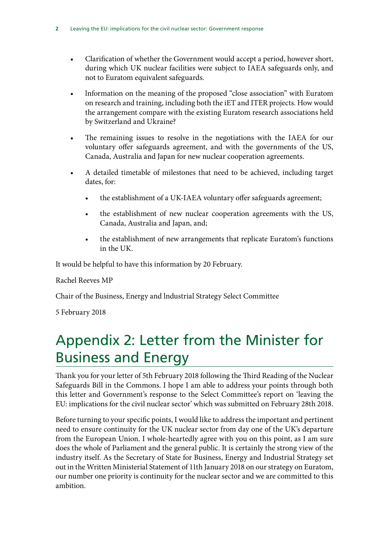- Clarification of whether the Government would accept a period, however short, during which UK nuclear facilities were subject to IAEA safeguards only, and not to Euratom equivalent safeguards.
- lnformation on the meaning of the proposed "close association" with Euratom on research and training, including both the iET and ITER projects. How would the arrangement compare with the existing Euratom research associations held by Switzerland and Ukraine?
- The remaining issues to resolve in the negotiations with the IAEA for our voluntary offer safeguards agreement, and with the governments of the US, Canada, Australia and Japan for new nuclear cooperation agreements.
- A detailed timetable of milestones that need to be achieved, including target dates, for:
	- the establishment of a UK-IAEA voluntary offer safeguards agreement;
	- the establishment of new nuclear cooperation agreements with the US, Canada, Australia and Japan, and;
	- the establishment of new arrangements that replicate Euratom's functions in the UK.

It would be helpful to have this information by 20 February.

Rachel Reeves MP

Chair of the Business, Energy and lndustrial Strategy Select Committee

5 February 2018

# Appendix 2: Letter from the Minister for Business and Energy

Thank you for your letter of 5th February 2018 following the Third Reading of the Nuclear Safeguards Bill in the Commons. I hope I am able to address your points through both this letter and Government's response to the Select Committee's report on 'leaving the EU: implications for the civil nuclear sector' which was submitted on February 28th 2018.

Before turning to your specific points, I would like to address the important and pertinent need to ensure continuity for the UK nuclear sector from day one of the UK's departure from the European Union. I whole-heartedly agree with you on this point, as I am sure does the whole of Parliament and the general public. It is certainly the strong view of the industry itself. As the Secretary of State for Business, Energy and Industrial Strategy set out in the Written Ministerial Statement of 11th January 2018 on our strategy on Euratom, our number one priority is continuity for the nuclear sector and we are committed to this ambition.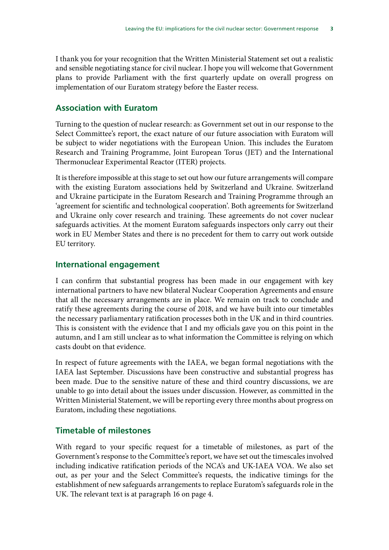I thank you for your recognition that the Written Ministerial Statement set out a realistic and sensible negotiating stance for civil nuclear. I hope you will welcome that Government plans to provide Parliament with the first quarterly update on overall progress on implementation of our Euratom strategy before the Easter recess.

#### **Association with Euratom**

Turning to the question of nuclear research: as Government set out in our response to the Select Committee's report, the exact nature of our future association with Euratom will be subject to wider negotiations with the European Union. This includes the Euratom Research and Training Programme, Joint European Torus (JET) and the International Thermonuclear Experimental Reactor (ITER) projects.

It is therefore impossible at this stage to set out how our future arrangements will compare with the existing Euratom associations held by Switzerland and Ukraine. Switzerland and Ukraine participate in the Euratom Research and Training Programme through an 'agreement for scientific and technological cooperation'. Both agreements for Switzerland and Ukraine only cover research and training. These agreements do not cover nuclear safeguards activities. At the moment Euratom safeguards inspectors only carry out their work in EU Member States and there is no precedent for them to carry out work outside EU territory.

#### **International engagement**

I can confirm that substantial progress has been made in our engagement with key international partners to have new bilateral Nuclear Cooperation Agreements and ensure that all the necessary arrangements are in place. We remain on track to conclude and ratify these agreements during the course of 2018, and we have built into our timetables the necessary parliamentary ratification processes both in the UK and in third countries. This is consistent with the evidence that I and my officials gave you on this point in the autumn, and I am still unclear as to what information the Committee is relying on which casts doubt on that evidence.

In respect of future agreements with the IAEA, we began formal negotiations with the IAEA last September. Discussions have been constructive and substantial progress has been made. Due to the sensitive nature of these and third country discussions, we are unable to go into detail about the issues under discussion. However, as committed in the Written Ministerial Statement, we will be reporting every three months about progress on Euratom, including these negotiations.

### **Timetable of milestones**

With regard to your specific request for a timetable of milestones, as part of the Government's response to the Committee's report, we have set out the timescales involved including indicative ratification periods of the NCA's and UK-IAEA VOA. We also set out, as per your and the Select Committee's requests, the indicative timings for the establishment of new safeguards arrangements to replace Euratom's safeguards role in the UK. The relevant text is at paragraph 16 on page 4.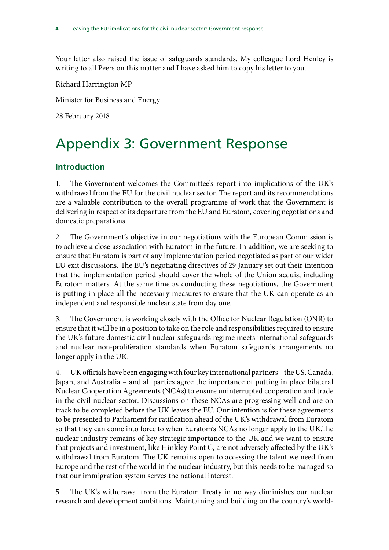Your letter also raised the issue of safeguards standards. My colleague Lord Henley is writing to all Peers on this matter and I have asked him to copy his letter to you.

Richard Harrington MP

Minister for Business and Energy

28 February 2018

# Appendix 3: Government Response

# **Introduction**

1. The Government welcomes the Committee's report into implications of the UK's withdrawal from the EU for the civil nuclear sector. The report and its recommendations are a valuable contribution to the overall programme of work that the Government is delivering in respect of its departure from the EU and Euratom, covering negotiations and domestic preparations.

2. The Government's objective in our negotiations with the European Commission is to achieve a close association with Euratom in the future. In addition, we are seeking to ensure that Euratom is part of any implementation period negotiated as part of our wider EU exit discussions. The EU's negotiating directives of 29 January set out their intention that the implementation period should cover the whole of the Union acquis, including Euratom matters. At the same time as conducting these negotiations, the Government is putting in place all the necessary measures to ensure that the UK can operate as an independent and responsible nuclear state from day one.

3. The Government is working closely with the Office for Nuclear Regulation (ONR) to ensure that it will be in a position to take on the role and responsibilities required to ensure the UK's future domestic civil nuclear safeguards regime meets international safeguards and nuclear non-proliferation standards when Euratom safeguards arrangements no longer apply in the UK.

4. UK officials have been engaging with four key international partners – the US, Canada, Japan, and Australia – and all parties agree the importance of putting in place bilateral Nuclear Cooperation Agreements (NCAs) to ensure uninterrupted cooperation and trade in the civil nuclear sector. Discussions on these NCAs are progressing well and are on track to be completed before the UK leaves the EU. Our intention is for these agreements to be presented to Parliament for ratification ahead of the UK's withdrawal from Euratom so that they can come into force to when Euratom's NCAs no longer apply to the UK.The nuclear industry remains of key strategic importance to the UK and we want to ensure that projects and investment, like Hinkley Point C, are not adversely affected by the UK's withdrawal from Euratom. The UK remains open to accessing the talent we need from Europe and the rest of the world in the nuclear industry, but this needs to be managed so that our immigration system serves the national interest.

5. The UK's withdrawal from the Euratom Treaty in no way diminishes our nuclear research and development ambitions. Maintaining and building on the country's world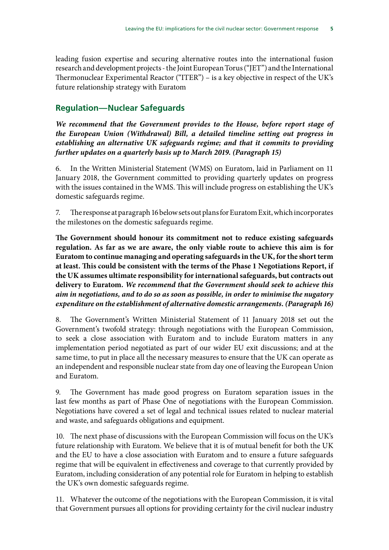leading fusion expertise and securing alternative routes into the international fusion research and development projects - the Joint European Torus ("JET") and the International Thermonuclear Experimental Reactor ("ITER") – is a key objective in respect of the UK's future relationship strategy with Euratom

# **Regulation—Nuclear Safeguards**

*We recommend that the Government provides to the House, before report stage of the European Union (Withdrawal) Bill, a detailed timeline setting out progress in establishing an alternative UK safeguards regime; and that it commits to providing further updates on a quarterly basis up to March 2019. (Paragraph 15)*

6. In the Written Ministerial Statement (WMS) on Euratom, laid in Parliament on 11 January 2018, the Government committed to providing quarterly updates on progress with the issues contained in the WMS. This will include progress on establishing the UK's domestic safeguards regime.

7. The response at paragraph 16 below sets out plans for Euratom Exit, which incorporates the milestones on the domestic safeguards regime.

**The Government should honour its commitment not to reduce existing safeguards regulation. As far as we are aware, the only viable route to achieve this aim is for Euratom to continue managing and operating safeguards in the UK, for the short term at least. This could be consistent with the terms of the Phase 1 Negotiations Report, if the UK assumes ultimate responsibility for international safeguards, but contracts out delivery to Euratom.** *We recommend that the Government should seek to achieve this aim in negotiations, and to do so as soon as possible, in order to minimise the nugatory expenditure on the establishment of alternative domestic arrangements. (Paragraph 16)*

8. The Government's Written Ministerial Statement of 11 January 2018 set out the Government's twofold strategy: through negotiations with the European Commission, to seek a close association with Euratom and to include Euratom matters in any implementation period negotiated as part of our wider EU exit discussions; and at the same time, to put in place all the necessary measures to ensure that the UK can operate as an independent and responsible nuclear state from day one of leaving the European Union and Euratom.

9. The Government has made good progress on Euratom separation issues in the last few months as part of Phase One of negotiations with the European Commission. Negotiations have covered a set of legal and technical issues related to nuclear material and waste, and safeguards obligations and equipment.

10. The next phase of discussions with the European Commission will focus on the UK's future relationship with Euratom. We believe that it is of mutual benefit for both the UK and the EU to have a close association with Euratom and to ensure a future safeguards regime that will be equivalent in effectiveness and coverage to that currently provided by Euratom, including consideration of any potential role for Euratom in helping to establish the UK's own domestic safeguards regime.

11. Whatever the outcome of the negotiations with the European Commission, it is vital that Government pursues all options for providing certainty for the civil nuclear industry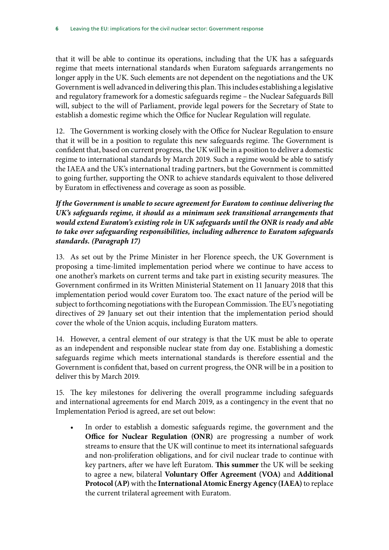that it will be able to continue its operations, including that the UK has a safeguards regime that meets international standards when Euratom safeguards arrangements no longer apply in the UK. Such elements are not dependent on the negotiations and the UK Government is well advanced in delivering this plan. This includes establishing a legislative and regulatory framework for a domestic safeguards regime – the Nuclear Safeguards Bill will, subject to the will of Parliament, provide legal powers for the Secretary of State to establish a domestic regime which the Office for Nuclear Regulation will regulate.

12. The Government is working closely with the Office for Nuclear Regulation to ensure that it will be in a position to regulate this new safeguards regime. The Government is confident that, based on current progress, the UK will be in a position to deliver a domestic regime to international standards by March 2019. Such a regime would be able to satisfy the IAEA and the UK's international trading partners, but the Government is committed to going further, supporting the ONR to achieve standards equivalent to those delivered by Euratom in effectiveness and coverage as soon as possible.

### *If the Government is unable to secure agreement for Euratom to continue delivering the UK's safeguards regime, it should as a minimum seek transitional arrangements that would extend Euratom's existing role in UK safeguards until the ONR is ready and able to take over safeguarding responsibilities, including adherence to Euratom safeguards standards. (Paragraph 17)*

13. As set out by the Prime Minister in her Florence speech, the UK Government is proposing a time-limited implementation period where we continue to have access to one another's markets on current terms and take part in existing security measures. The Government confirmed in its Written Ministerial Statement on 11 January 2018 that this implementation period would cover Euratom too. The exact nature of the period will be subject to forthcoming negotiations with the European Commission. The EU's negotiating directives of 29 January set out their intention that the implementation period should cover the whole of the Union acquis, including Euratom matters.

14. However, a central element of our strategy is that the UK must be able to operate as an independent and responsible nuclear state from day one. Establishing a domestic safeguards regime which meets international standards is therefore essential and the Government is confident that, based on current progress, the ONR will be in a position to deliver this by March 2019.

15. The key milestones for delivering the overall programme including safeguards and international agreements for end March 2019, as a contingency in the event that no Implementation Period is agreed, are set out below:

In order to establish a domestic safeguards regime, the government and the **Office for Nuclear Regulation (ONR)** are progressing a number of work streams to ensure that the UK will continue to meet its international safeguards and non-proliferation obligations, and for civil nuclear trade to continue with key partners, after we have left Euratom. **This summer** the UK will be seeking to agree a new, bilateral **Voluntary Offer Agreement (VOA)** and **Additional Protocol (AP)** with the **International Atomic Energy Agency (IAEA)** to replace the current trilateral agreement with Euratom.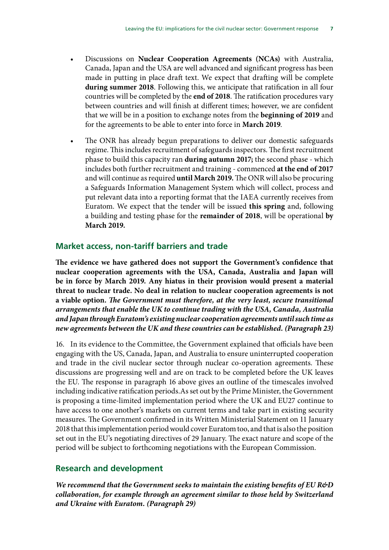- Discussions on **Nuclear Cooperation Agreements (NCAs)** with Australia, Canada, Japan and the USA are well advanced and significant progress has been made in putting in place draft text. We expect that drafting will be complete **during summer 2018**. Following this, we anticipate that ratification in all four countries will be completed by the **end of 2018**. The ratification procedures vary between countries and will finish at different times; however, we are confident that we will be in a position to exchange notes from the **beginning of 2019** and for the agreements to be able to enter into force in **March 2019**.
- The ONR has already begun preparations to deliver our domestic safeguards regime. This includes recruitment of safeguards inspectors. The first recruitment phase to build this capacity ran **during autumn 2017;** the second phase - which includes both further recruitment and training - commenced **at the end of 2017**  and will continue as required **until March 2019.** The ONR will also be procuring a Safeguards Information Management System which will collect, process and put relevant data into a reporting format that the IAEA currently receives from Euratom. We expect that the tender will be issued **this spring** and, following a building and testing phase for the **remainder of 2018**, will be operational **by March 2019.**

#### **Market access, non-tariff barriers and trade**

**The evidence we have gathered does not support the Government's confidence that nuclear cooperation agreements with the USA, Canada, Australia and Japan will be in force by March 2019. Any hiatus in their provision would present a material threat to nuclear trade. No deal in relation to nuclear cooperation agreements is not a viable option.** *The Government must therefore, at the very least, secure transitional arrangements that enable the UK to continue trading with the USA, Canada, Australia and Japan through Euratom's existing nuclear cooperation agreements until such time as new agreements between the UK and these countries can be established. (Paragraph 23)*

16. In its evidence to the Committee, the Government explained that officials have been engaging with the US, Canada, Japan, and Australia to ensure uninterrupted cooperation and trade in the civil nuclear sector through nuclear co-operation agreements. These discussions are progressing well and are on track to be completed before the UK leaves the EU. The response in paragraph 16 above gives an outline of the timescales involved including indicative ratification periods.As set out by the Prime Minister, the Government is proposing a time-limited implementation period where the UK and EU27 continue to have access to one another's markets on current terms and take part in existing security measures. The Government confirmed in its Written Ministerial Statement on 11 January 2018 that this implementation period would cover Euratom too, and that is also the position set out in the EU's negotiating directives of 29 January. The exact nature and scope of the period will be subject to forthcoming negotiations with the European Commission.

### **Research and development**

*We recommend that the Government seeks to maintain the existing benefits of EU R&D collaboration, for example through an agreement similar to those held by Switzerland and Ukraine with Euratom. (Paragraph 29)*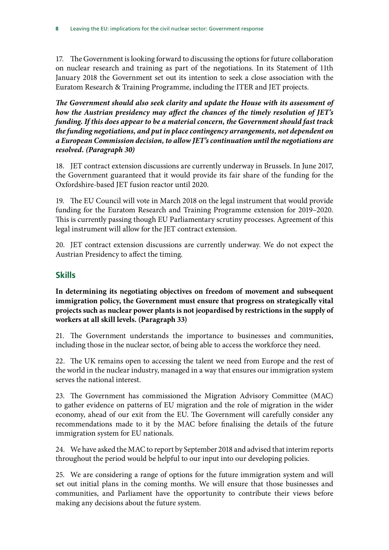17. The Government is looking forward to discussing the options for future collaboration on nuclear research and training as part of the negotiations. In its Statement of 11th January 2018 the Government set out its intention to seek a close association with the Euratom Research & Training Programme, including the ITER and JET projects.

*The Government should also seek clarity and update the House with its assessment of how the Austrian presidency may affect the chances of the timely resolution of JET's funding. If this does appear to be a material concern, the Government should fast track the funding negotiations, and put in place contingency arrangements, not dependent on a European Commission decision, to allow JET's continuation until the negotiations are resolved. (Paragraph 30)*

18. JET contract extension discussions are currently underway in Brussels. In June 2017, the Government guaranteed that it would provide its fair share of the funding for the Oxfordshire-based JET fusion reactor until 2020.

19. The EU Council will vote in March 2018 on the legal instrument that would provide funding for the Euratom Research and Training Programme extension for 2019–2020. This is currently passing though EU Parliamentary scrutiny processes. Agreement of this legal instrument will allow for the JET contract extension.

20. JET contract extension discussions are currently underway. We do not expect the Austrian Presidency to affect the timing.

# **Skills**

**In determining its negotiating objectives on freedom of movement and subsequent immigration policy, the Government must ensure that progress on strategically vital projects such as nuclear power plants is not jeopardised by restrictions in the supply of workers at all skill levels. (Paragraph 33)**

21. The Government understands the importance to businesses and communities, including those in the nuclear sector, of being able to access the workforce they need.

22. The UK remains open to accessing the talent we need from Europe and the rest of the world in the nuclear industry, managed in a way that ensures our immigration system serves the national interest.

23. The Government has commissioned the Migration Advisory Committee (MAC) to gather evidence on patterns of EU migration and the role of migration in the wider economy, ahead of our exit from the EU. The Government will carefully consider any recommendations made to it by the MAC before finalising the details of the future immigration system for EU nationals.

24. We have asked the MAC to report by September 2018 and advised that interim reports throughout the period would be helpful to our input into our developing policies.

25. We are considering a range of options for the future immigration system and will set out initial plans in the coming months. We will ensure that those businesses and communities, and Parliament have the opportunity to contribute their views before making any decisions about the future system.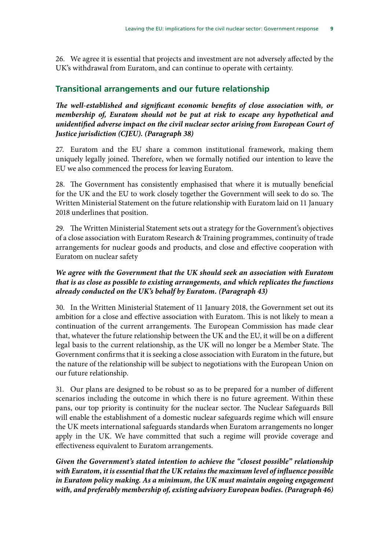26. We agree it is essential that projects and investment are not adversely affected by the UK's withdrawal from Euratom, and can continue to operate with certainty.

# **Transitional arrangements and our future relationship**

*The well-established and significant economic benefits of close association with, or membership of, Euratom should not be put at risk to escape any hypothetical and unidentified adverse impact on the civil nuclear sector arising from European Court of Justice jurisdiction (CJEU). (Paragraph 38)*

27. Euratom and the EU share a common institutional framework, making them uniquely legally joined. Therefore, when we formally notified our intention to leave the EU we also commenced the process for leaving Euratom.

28. The Government has consistently emphasised that where it is mutually beneficial for the UK and the EU to work closely together the Government will seek to do so. The Written Ministerial Statement on the future relationship with Euratom laid on 11 January 2018 underlines that position.

29. The Written Ministerial Statement sets out a strategy for the Government's objectives of a close association with Euratom Research & Training programmes, continuity of trade arrangements for nuclear goods and products, and close and effective cooperation with Euratom on nuclear safety

### *We agree with the Government that the UK should seek an association with Euratom that is as close as possible to existing arrangements, and which replicates the functions already conducted on the UK's behalf by Euratom. (Paragraph 43)*

30. In the Written Ministerial Statement of 11 January 2018, the Government set out its ambition for a close and effective association with Euratom. This is not likely to mean a continuation of the current arrangements. The European Commission has made clear that, whatever the future relationship between the UK and the EU, it will be on a different legal basis to the current relationship, as the UK will no longer be a Member State. The Government confirms that it is seeking a close association with Euratom in the future, but the nature of the relationship will be subject to negotiations with the European Union on our future relationship.

31. Our plans are designed to be robust so as to be prepared for a number of different scenarios including the outcome in which there is no future agreement. Within these pans, our top priority is continuity for the nuclear sector. The Nuclear Safeguards Bill will enable the establishment of a domestic nuclear safeguards regime which will ensure the UK meets international safeguards standards when Euratom arrangements no longer apply in the UK. We have committed that such a regime will provide coverage and effectiveness equivalent to Euratom arrangements.

*Given the Government's stated intention to achieve the "closest possible" relationship with Euratom, it is essential that the UK retains the maximum level of influence possible in Euratom policy making. As a minimum, the UK must maintain ongoing engagement with, and preferably membership of, existing advisory European bodies. (Paragraph 46)*